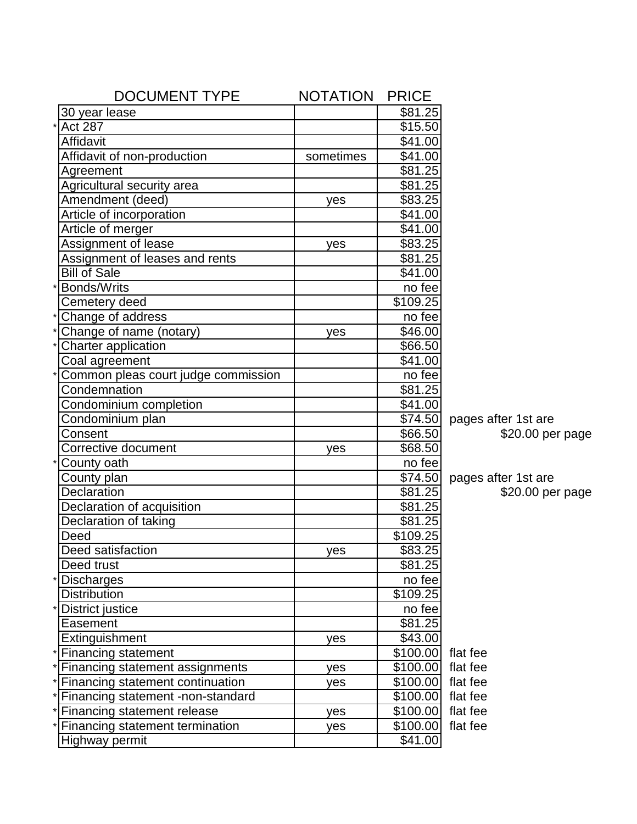| <b>DOCUMENT TYPE</b>                         | <b>NOTATION</b> | <b>PRICE</b>        |                     |
|----------------------------------------------|-----------------|---------------------|---------------------|
| 30 year lease                                |                 | \$81.25             |                     |
| <b>Act 287</b><br>$\star$                    |                 | \$15.50             |                     |
| Affidavit                                    |                 | \$41.00             |                     |
| Affidavit of non-production                  | sometimes       | \$41.00             |                     |
| Agreement                                    |                 | \$81.25             |                     |
| Agricultural security area                   |                 | \$81.25             |                     |
| Amendment (deed)                             | yes             | \$83.25             |                     |
| Article of incorporation                     |                 | \$41.00             |                     |
| Article of merger                            |                 | \$41.00             |                     |
| Assignment of lease                          | yes             | \$83.25             |                     |
| Assignment of leases and rents               |                 | \$81.25             |                     |
| <b>Bill of Sale</b>                          |                 | \$41.00             |                     |
| <b>Bonds/Writs</b>                           |                 | no fee              |                     |
| Cemetery deed                                |                 | \$109.25            |                     |
| Change of address<br>$\star$                 |                 | no fee              |                     |
| Change of name (notary)                      | yes             | \$46.00             |                     |
| Charter application<br>$\star$               |                 | \$66.50             |                     |
| Coal agreement                               |                 | \$41.00             |                     |
| Common pleas court judge commission          |                 | no fee              |                     |
| Condemnation                                 |                 | \$81.25             |                     |
| Condominium completion                       |                 | \$41.00             |                     |
| Condominium plan                             |                 | \$74.50             | pages after 1st are |
| Consent                                      |                 | \$66.50             | $$20.00$ per page   |
| Corrective document                          | yes             | \$68.50             |                     |
| County oath                                  |                 | no fee              |                     |
| County plan                                  |                 | \$74.50             | pages after 1st are |
| Declaration                                  |                 | $$81.\overline{25}$ | \$20.00 per page    |
| Declaration of acquisition                   |                 | \$81.25             |                     |
| Declaration of taking                        |                 | \$81.25             |                     |
| Deed                                         |                 | \$109.25            |                     |
| Deed satisfaction                            | yes             | \$83.25             |                     |
| Deed trust                                   |                 | \$81.25             |                     |
| $\star$<br><b>Discharges</b>                 |                 | no fee              |                     |
| <b>Distribution</b>                          |                 | \$109.25            |                     |
| <b>District justice</b><br>$\star$           |                 | no fee              |                     |
| Easement                                     |                 | \$81.25             |                     |
| Extinguishment                               | yes             | \$43.00             |                     |
| * Financing statement                        |                 | \$100.00 flat fee   |                     |
| * Financing statement assignments            | yes             | $\sqrt{3}100.00$    | flat fee            |
| Financing statement continuation<br>$\star$  | yes             | \$100.00            | flat fee            |
| Financing statement -non-standard<br>$\star$ |                 | \$100.00            | flat fee            |
| Financing statement release<br>$\star$       | yes             | \$100.00            | flat fee            |
| Financing statement termination<br>*         | yes             | \$100.00            | flat fee            |
| <b>Highway permit</b>                        |                 | \$41.00             |                     |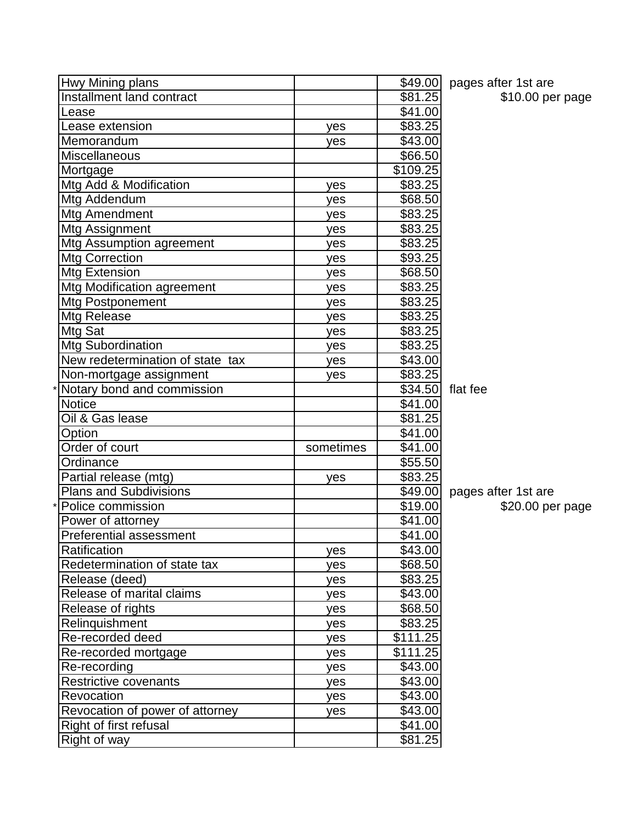| Hwy Mining plans                 |           |                     | \$49.00 pages after 1st are |
|----------------------------------|-----------|---------------------|-----------------------------|
| Installment land contract        |           | \$81.25             | \$10.00 per page            |
| Lease                            |           | \$41.00             |                             |
| Lease extension                  | yes       | \$83.25             |                             |
| Memorandum                       | yes       | \$43.00             |                             |
| <b>Miscellaneous</b>             |           | \$66.50             |                             |
| Mortgage                         |           | \$109.25            |                             |
| Mtg Add & Modification           | yes       | \$83.25             |                             |
| Mtg Addendum                     | yes       | \$68.50             |                             |
| Mtg Amendment                    | yes       | \$83.25             |                             |
| Mtg Assignment                   | yes       | \$83.25             |                             |
| Mtg Assumption agreement         | yes       | \$83.25             |                             |
| <b>Mtg Correction</b>            | yes       | \$93.25             |                             |
| Mtg Extension                    | yes       | \$68.50             |                             |
| Mtg Modification agreement       | yes       | \$83.25             |                             |
| Mtg Postponement                 | yes       | \$83.25             |                             |
| Mtg Release                      | yes       | \$83.25             |                             |
| Mtg Sat                          | yes       | \$83.25             |                             |
| <b>Mtg Subordination</b>         | yes       | \$83.25             |                             |
| New redetermination of state tax | yes       | \$43.00             |                             |
| Non-mortgage assignment          | yes       | \$83.25             |                             |
| Notary bond and commission       |           | \$34.50             | flat fee                    |
| <b>Notice</b>                    |           | \$41.00             |                             |
| Oil & Gas lease                  |           | \$81.25             |                             |
| Option                           |           | \$41.00             |                             |
| Order of court                   | sometimes | \$41.00             |                             |
| Ordinance                        |           | \$55.50             |                             |
| Partial release (mtg)            | yes       | \$83.25             |                             |
| <b>Plans and Subdivisions</b>    |           | \$49.00             | pages after 1st are         |
| Police commission                |           | \$19.00             | \$20.00 per page            |
| Power of attorney                |           | \$41.00             |                             |
| Preferential assessment          |           | $\overline{$41.00}$ |                             |
| Ratification                     | yes       | \$43.00             |                             |
| Redetermination of state tax     | yes       | \$68.50             |                             |
| Release (deed)                   | yes       | \$83.25             |                             |
| Release of marital claims        | yes       | \$43.00             |                             |
| Release of rights                | yes       | \$68.50             |                             |
| Relinquishment                   | yes       | $\overline{$83.25}$ |                             |
| Re-recorded deed                 | yes       | \$111.25            |                             |
| Re-recorded mortgage             | yes       | \$111.25            |                             |
| Re-recording                     | yes       | \$43.00             |                             |
| Restrictive covenants            | yes       | \$43.00             |                             |
| Revocation                       | yes       | \$43.00             |                             |
| Revocation of power of attorney  | yes       | \$43.00             |                             |
| Right of first refusal           |           | \$41.00             |                             |
| Right of way                     |           | \$81.25             |                             |